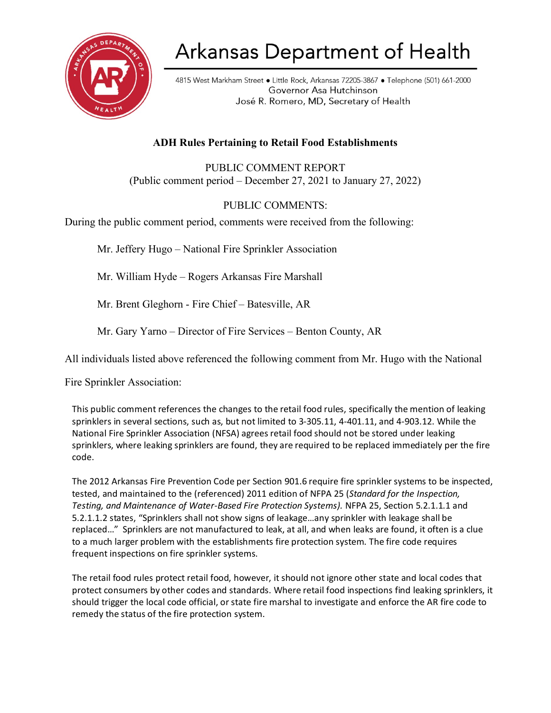

# Arkansas Department of Health

4815 West Markham Street . Little Rock, Arkansas 72205-3867 . Telephone (501) 661-2000 Governor Asa Hutchinson José R. Romero, MD, Secretary of Health

## **ADH Rules Pertaining to Retail Food Establishments**

PUBLIC COMMENT REPORT (Public comment period – December 27, 2021 to January 27, 2022)

### PUBLIC COMMENTS:

During the public comment period, comments were received from the following:

Mr. Jeffery Hugo – National Fire Sprinkler Association

Mr. William Hyde – Rogers Arkansas Fire Marshall

Mr. Brent Gleghorn - Fire Chief – Batesville, AR

Mr. Gary Yarno – Director of Fire Services – Benton County, AR

All individuals listed above referenced the following comment from Mr. Hugo with the National

Fire Sprinkler Association:

This public comment references the changes to the retail food rules, specifically the mention of leaking sprinklers in several sections, such as, but not limited to 3-305.11, 4-401.11, and 4-903.12. While the National Fire Sprinkler Association (NFSA) agrees retail food should not be stored under leaking sprinklers, where leaking sprinklers are found, they are required to be replaced immediately per the fire code.

The 2012 Arkansas Fire Prevention Code per Section 901.6 require fire sprinkler systems to be inspected, tested, and maintained to the (referenced) 2011 edition of NFPA 25 (*Standard for the Inspection, Testing, and Maintenance of Water-Based Fire Protection Systems).* NFPA 25, Section 5.2.1.1.1 and 5.2.1.1.2 states, "Sprinklers shall not show signs of leakage…any sprinkler with leakage shall be replaced…" Sprinklers are not manufactured to leak, at all, and when leaks are found, it often is a clue to a much larger problem with the establishments fire protection system. The fire code requires frequent inspections on fire sprinkler systems.

The retail food rules protect retail food, however, it should not ignore other state and local codes that protect consumers by other codes and standards. Where retail food inspections find leaking sprinklers, it should trigger the local code official, or state fire marshal to investigate and enforce the AR fire code to remedy the status of the fire protection system.